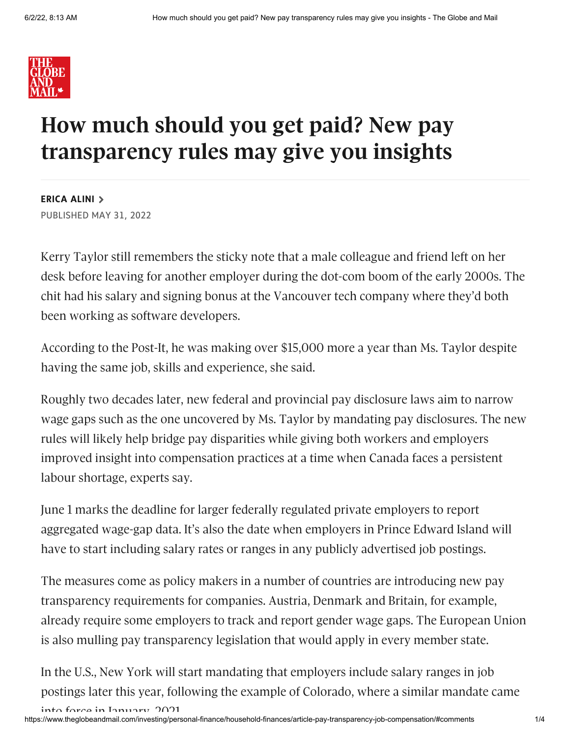

## **How much should you get paid? New pay transparency rules may give you insights**

**[ERICA](https://www.theglobeandmail.com/authors/erica-alini/) ALINI** PUBLISHED MAY 31, 2022

into force in January 2021

Kerry Taylor still remembers the sticky note that a male colleague and friend left on her desk before leaving for another employer during the dot-com boom of the early 2000s. The chit had his salary and signing bonus at the Vancouver tech company where they'd both been working as software developers.

According to the Post-It, he was making over \$15,000 more a year than Ms. Taylor despite having the same job, skills and experience, she said.

Roughly two decades later, new federal and provincial pay disclosure laws aim to narrow wage gaps such as the one uncovered by Ms. Taylor by mandating pay disclosures. The new rules will likely help bridge pay disparities while giving both workers and employers improved insight into compensation practices at a time when Canada faces a persistent labour shortage, experts say.

June 1 marks the deadline for larger federally regulated private employers to report aggregated wage-gap data. It's also the date when employers in Prince Edward Island will have to start including salary rates or ranges in any publicly advertised job postings.

The measures come as policy makers in a number of countries are introducing new pay transparency requirements for companies. Austria, Denmark and Britain, for example, already require some employers to track and report gender wage gaps. The European Union is also mulling pay transparency legislation that would apply in every member state.

In the U.S., New York will start mandating that employers include salary ranges in job postings later this year, following the example of Colorado, where a similar mandate came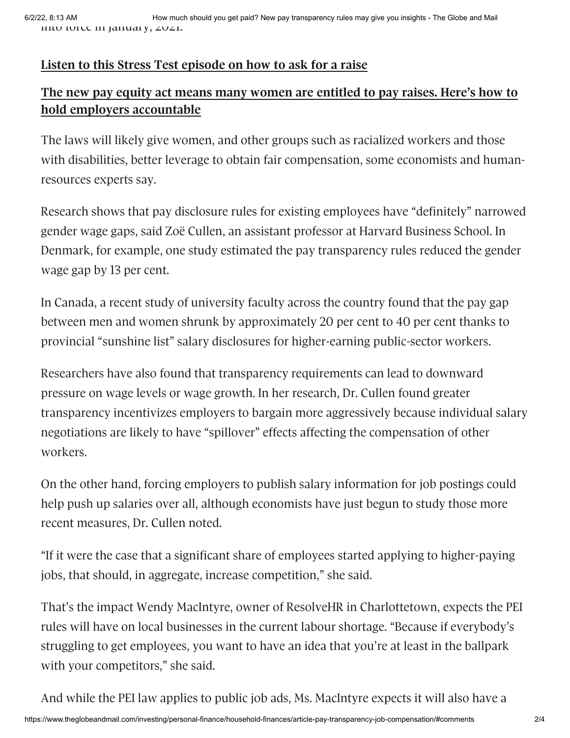## **Listen to this Stress Test [episode](https://podcasts.apple.com/ca/podcast/salary-negotiation-101-how-to-ask-for-a-raise/id1515539724?i=1000523840491) on how to ask for a raise**

## **The new pay equity act means many women are entitled to pay raises. Here's how to hold employers [accountable](https://www.theglobeandmail.com/business/article-canada-pay-gap-federal-equity-act/)**

The laws will likely give women, and other groups such as racialized workers and those with disabilities, better leverage to obtain fair compensation, some economists and humanresources experts say.

Research shows that pay disclosure rules for existing employees have "definitely" narrowed gender wage gaps, said Zoë Cullen, an assistant professor at Harvard Business School. In Denmark, for example, one study estimated the pay transparency rules reduced the gender wage gap by 13 per cent.

In Canada, a recent study of university faculty across the country found that the pay gap between men and women shrunk by approximately 20 per cent to 40 per cent thanks to provincial "sunshine list" salary disclosures for higher-earning public-sector workers.

Researchers have also found that transparency requirements can lead to downward pressure on wage levels or wage growth. In her research, Dr. Cullen found greater transparency incentivizes employers to bargain more aggressively because individual salary negotiations are likely to have "spillover" effects affecting the compensation of other workers.

On the other hand, forcing employers to publish salary information for job postings could help push up salaries over all, although economists have just begun to study those more recent measures, Dr. Cullen noted.

"If it were the case that a significant share of employees started applying to higher-paying jobs, that should, in aggregate, increase competition," she said.

That's the impact Wendy MacIntyre, owner of ResolveHR in Charlottetown, expects the PEI rules will have on local businesses in the current labour shortage. "Because if everybody's struggling to get employees, you want to have an idea that you're at least in the ballpark with your competitors," she said.

And while the PEI law applies to public job ads, Ms. MacIntyre expects it will also have a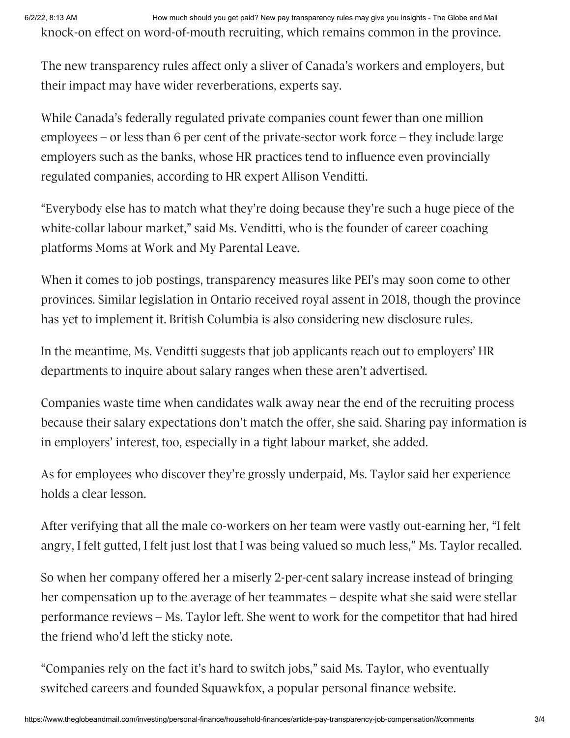6/2/22, 8:13 AM How much should you get paid? New pay transparency rules may give you insights - The Globe and Mail knock-on effect on word-of-mouth recruiting, which remains common in the province.

The new transparency rules affect only a sliver of Canada's workers and employers, but their impact may have wider reverberations, experts say.

While Canada's federally regulated private companies count fewer than one million employees – or less than 6 per cent of the private-sector work force – they include large employers such as the banks, whose HR practices tend to influence even provincially regulated companies, according to HR expert Allison Venditti.

"Everybody else has to match what they're doing because they're such a huge piece of the white-collar labour market," said Ms. Venditti, who is the founder of career coaching platforms Moms at Work and My Parental Leave.

When it comes to job postings, transparency measures like PEI's may soon come to other provinces. Similar legislation in Ontario received royal assent in 2018, though the province has yet to implement it. British Columbia is also considering new disclosure rules.

In the meantime, Ms. Venditti suggests that job applicants reach out to employers' HR departments to inquire about salary ranges when these aren't advertised.

Companies waste time when candidates walk away near the end of the recruiting process because their salary expectations don't match the offer, she said. Sharing pay information is in employers' interest, too, especially in a tight labour market, she added.

As for employees who discover they're grossly underpaid, Ms. Taylor said her experience holds a clear lesson.

After verifying that all the male co-workers on her team were vastly out-earning her, "I felt angry, I felt gutted, I felt just lost that I was being valued so much less," Ms. Taylor recalled.

So when her company offered her a miserly 2-per-cent salary increase instead of bringing her compensation up to the average of her teammates – despite what she said were stellar performance reviews – Ms. Taylor left. She went to work for the competitor that had hired the friend who'd left the sticky note.

"Companies rely on the fact it's hard to switch jobs," said Ms. Taylor, who eventually switched careers and founded Squawkfox, a popular personal finance website.